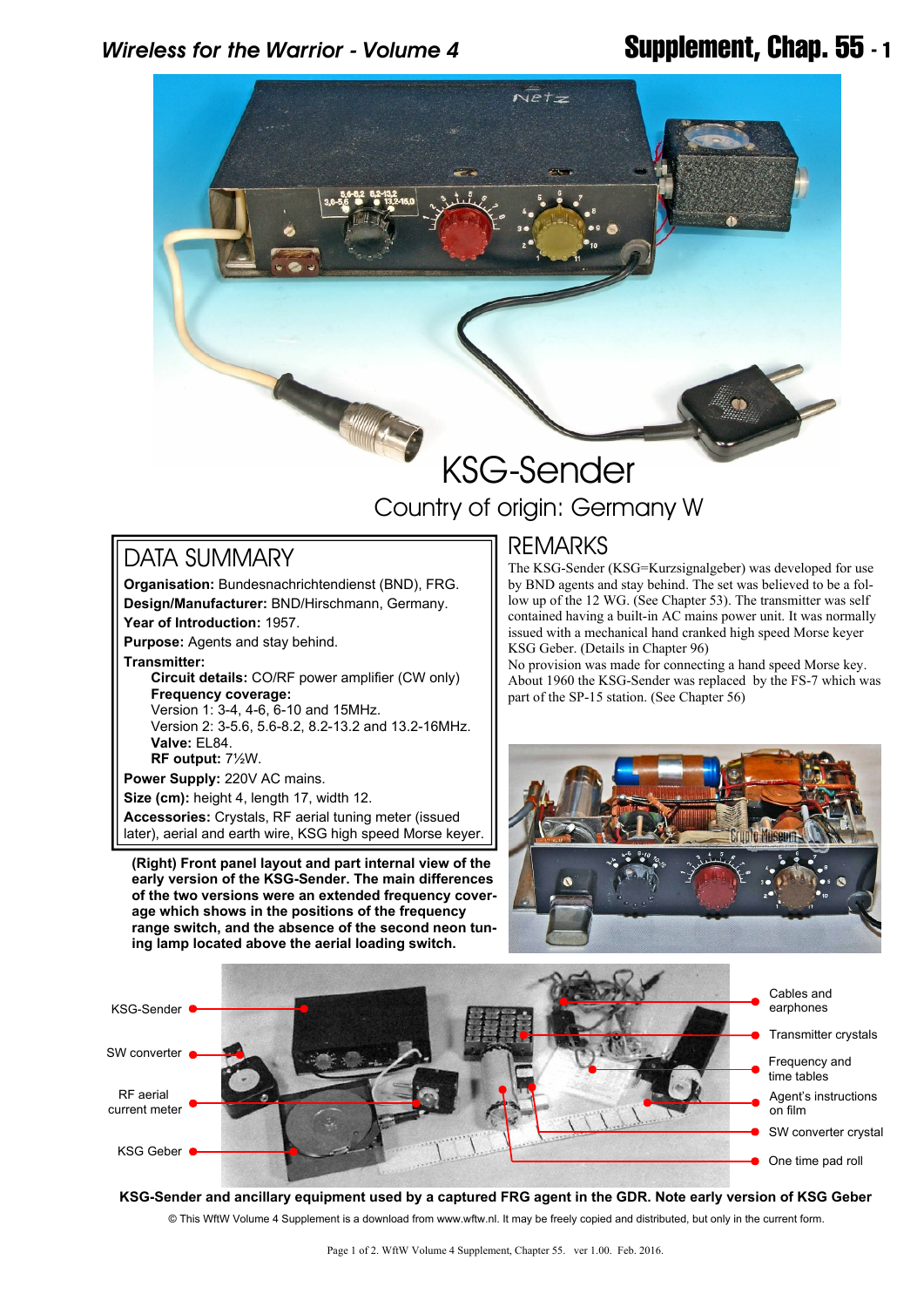

# Country of origin: Germany W

## DATA SUMMARY

**Organisation:** Bundesnachrichtendienst (BND), FRG. **Design/Manufacturer:** BND/Hirschmann, Germany. **Year of Introduction:** 1957. **Purpose:** Agents and stay behind. **Transmitter: Circuit details:** CO/RF power amplifier (CW only)

 **Frequency coverage:** Version 1: 3-4, 4-6, 6-10 and 15MHz. Version 2: 3-5.6, 5.6-8.2, 8.2-13.2 and 13.2-16MHz.  **Valve:** EL84.  **RF output:** 7½W. **Power Supply:** 220V AC mains.

**Size (cm):** height 4, length 17, width 12.

**Accessories:** Crystals, RF aerial tuning meter (issued later), aerial and earth wire, KSG high speed Morse keyer.

**(Right) Front panel layout and part internal view of the early version of the KSG-Sender. The main differences of the two versions were an extended frequency coverage which shows in the positions of the frequency range switch, and the absence of the second neon tuning lamp located above the aerial loading switch.**

### REMARKS

The KSG-Sender (KSG=Kurzsignalgeber) was developed for use by BND agents and stay behind. The set was believed to be a follow up of the 12 WG. (See Chapter 53). The transmitter was self contained having a built-in AC mains power unit. It was normally issued with a mechanical hand cranked high speed Morse keyer KSG Geber. (Details in Chapter 96)

No provision was made for connecting a hand speed Morse key. About 1960 the KSG-Sender was replaced by the FS-7 which was part of the SP-15 station. (See Chapter 56)





© This WftW Volume 4 Supplement is a download from www.wftw.nl. It may be freely copied and distributed, but only in the current form. **KSG-Sender and ancillary equipment used by a captured FRG agent in the GDR. Note early version of KSG Geber**